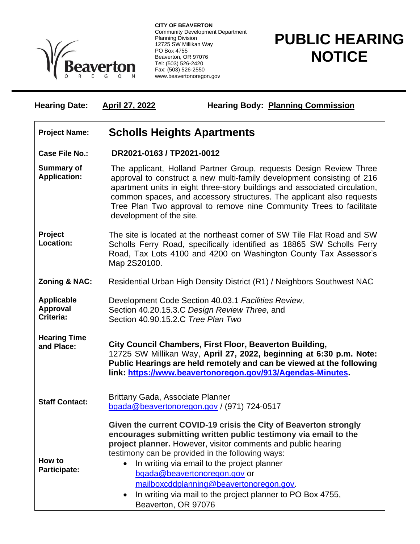

**CITY OF BEAVERTON** Community Development Department Planning Division 12725 SW Millikan Way PO Box 4755 Beaverton, OR 97076 Tel: (503) 526-2420 Fax: (503) 526-2550 www.beavertonoregon.gov

## **PUBLIC HEARING NOTICE**

| <b>Hearing Date:</b>                              | <b>April 27, 2022</b>                                                                                                                                                                                                                                                                                                                                                                                 | <b>Hearing Body: Planning Commission</b>                                                                                                                                                                                                                                                                                                                                                                                                         |
|---------------------------------------------------|-------------------------------------------------------------------------------------------------------------------------------------------------------------------------------------------------------------------------------------------------------------------------------------------------------------------------------------------------------------------------------------------------------|--------------------------------------------------------------------------------------------------------------------------------------------------------------------------------------------------------------------------------------------------------------------------------------------------------------------------------------------------------------------------------------------------------------------------------------------------|
| <b>Project Name:</b>                              | <b>Scholls Heights Apartments</b>                                                                                                                                                                                                                                                                                                                                                                     |                                                                                                                                                                                                                                                                                                                                                                                                                                                  |
| <b>Case File No.:</b>                             | DR2021-0163 / TP2021-0012                                                                                                                                                                                                                                                                                                                                                                             |                                                                                                                                                                                                                                                                                                                                                                                                                                                  |
| <b>Summary of</b><br><b>Application:</b>          | The applicant, Holland Partner Group, requests Design Review Three<br>approval to construct a new multi-family development consisting of 216<br>apartment units in eight three-story buildings and associated circulation,<br>common spaces, and accessory structures. The applicant also requests<br>Tree Plan Two approval to remove nine Community Trees to facilitate<br>development of the site. |                                                                                                                                                                                                                                                                                                                                                                                                                                                  |
| Project<br>Location:                              | The site is located at the northeast corner of SW Tile Flat Road and SW<br>Scholls Ferry Road, specifically identified as 18865 SW Scholls Ferry<br>Road, Tax Lots 4100 and 4200 on Washington County Tax Assessor's<br>Map 2S20100.                                                                                                                                                                  |                                                                                                                                                                                                                                                                                                                                                                                                                                                  |
| <b>Zoning &amp; NAC:</b>                          | Residential Urban High Density District (R1) / Neighbors Southwest NAC                                                                                                                                                                                                                                                                                                                                |                                                                                                                                                                                                                                                                                                                                                                                                                                                  |
| <b>Applicable</b><br><b>Approval</b><br>Criteria: | Section 40.90.15.2.C Tree Plan Two                                                                                                                                                                                                                                                                                                                                                                    | Development Code Section 40.03.1 Facilities Review,<br>Section 40.20.15.3.C Design Review Three, and                                                                                                                                                                                                                                                                                                                                             |
| <b>Hearing Time</b><br>and Place:                 | City Council Chambers, First Floor, Beaverton Building,<br>12725 SW Millikan Way, April 27, 2022, beginning at 6:30 p.m. Note:<br>Public Hearings are held remotely and can be viewed at the following<br>link: https://www.beavertonoregon.gov/913/Agendas-Minutes.                                                                                                                                  |                                                                                                                                                                                                                                                                                                                                                                                                                                                  |
| <b>Staff Contact:</b>                             | Brittany Gada, Associate Planner                                                                                                                                                                                                                                                                                                                                                                      | bgada@beavertonoregon.gov / (971) 724-0517                                                                                                                                                                                                                                                                                                                                                                                                       |
| How to<br>Participate:                            | Beaverton, OR 97076                                                                                                                                                                                                                                                                                                                                                                                   | Given the current COVID-19 crisis the City of Beaverton strongly<br>encourages submitting written public testimony via email to the<br>project planner. However, visitor comments and public hearing<br>testimony can be provided in the following ways:<br>In writing via email to the project planner<br>bgada@beavertonoregon.gov or<br>mailboxcddplanning@beavertonoregon.gov.<br>In writing via mail to the project planner to PO Box 4755, |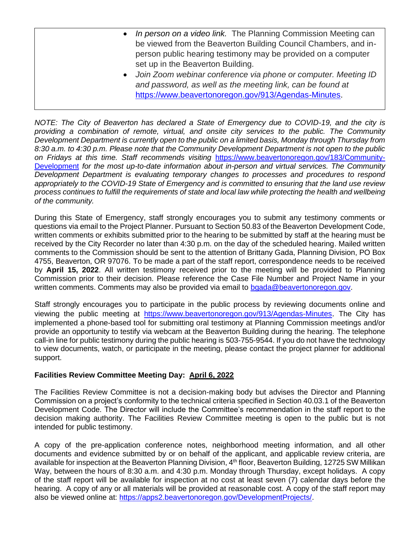- *In person on a video link.* The Planning Commission Meeting can be viewed from the Beaverton Building Council Chambers, and inperson public hearing testimony may be provided on a computer set up in the Beaverton Building.
- *Join Zoom webinar conference via phone or computer. Meeting ID and password, as well as the meeting link, can be found at*  [https://www.beavertonoregon.gov/913/Agendas-Minutes.](https://www.beavertonoregon.gov/913/Agendas-Minutes)

*NOTE: The City of Beaverton has declared a State of Emergency due to COVID-19, and the city is providing a combination of remote, virtual, and onsite city services to the public. The Community Development Department is currently open to the public on a limited basis, Monday through Thursday from 8:30 a.m. to 4:30 p.m. Please note that the Community Development Department is not open to the public on Fridays at this time. Staff recommends visiting* [https://www.beavertonoregon.gov/183/Community-](https://www.beavertonoregon.gov/183/Community-Development)[Development](https://www.beavertonoregon.gov/183/Community-Development) *for the most up-to-date information about in-person and virtual services. The Community Development Department is evaluating temporary changes to processes and procedures to respond appropriately to the COVID-19 State of Emergency and is committed to ensuring that the land use review process continues to fulfill the requirements of state and local law while protecting the health and wellbeing of the community.*

During this State of Emergency, staff strongly encourages you to submit any testimony comments or questions via email to the Project Planner. Pursuant to Section 50.83 of the Beaverton Development Code, written comments or exhibits submitted prior to the hearing to be submitted by staff at the hearing must be received by the City Recorder no later than 4:30 p.m. on the day of the scheduled hearing. Mailed written comments to the Commission should be sent to the attention of Brittany Gada, Planning Division, PO Box 4755, Beaverton, OR 97076. To be made a part of the staff report, correspondence needs to be received by **April 15, 2022**. All written testimony received prior to the meeting will be provided to Planning Commission prior to their decision. Please reference the Case File Number and Project Name in your written comments. Comments may also be provided via email to [bgada@beavertonoregon.gov.](mailto:bgada@beavertonoregon.gov)

Staff strongly encourages you to participate in the public process by reviewing documents online and viewing the public meeting at <https://www.beavertonoregon.gov/913/Agendas-Minutes>. The City has implemented a phone-based tool for submitting oral testimony at Planning Commission meetings and/or provide an opportunity to testify via webcam at the Beaverton Building during the hearing. The telephone call-in line for public testimony during the public hearing is 503-755-9544. If you do not have the technology to view documents, watch, or participate in the meeting, please contact the project planner for additional support.

## **Facilities Review Committee Meeting Day: April 6, 2022**

The Facilities Review Committee is not a decision-making body but advises the Director and Planning Commission on a project's conformity to the technical criteria specified in Section 40.03.1 of the Beaverton Development Code. The Director will include the Committee's recommendation in the staff report to the decision making authority. The Facilities Review Committee meeting is open to the public but is not intended for public testimony.

A copy of the pre-application conference notes, neighborhood meeting information, and all other documents and evidence submitted by or on behalf of the applicant, and applicable review criteria, are available for inspection at the Beaverton Planning Division, 4<sup>th</sup> floor, Beaverton Building, 12725 SW Millikan Way, between the hours of 8:30 a.m. and 4:30 p.m. Monday through Thursday, except holidays. A copy of the staff report will be available for inspection at no cost at least seven (7) calendar days before the hearing. A copy of any or all materials will be provided at reasonable cost. A copy of the staff report may also be viewed online at: [https://apps2.beavertonoregon.gov/DevelopmentProjects/.](https://apps2.beavertonoregon.gov/DevelopmentProjects/)